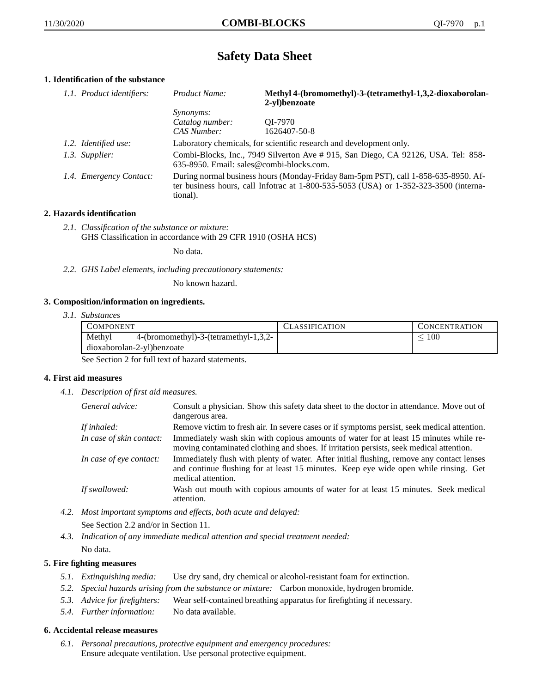# **Safety Data Sheet**

## **1. Identification of the substance**

| 1.1. Product identifiers: | Product Name:                                                                                                                                                                           | Methyl 4-(bromomethyl)-3-(tetramethyl-1,3,2-dioxaborolan-<br>2-vl)benzoate |
|---------------------------|-----------------------------------------------------------------------------------------------------------------------------------------------------------------------------------------|----------------------------------------------------------------------------|
|                           | <i>Synonyms:</i>                                                                                                                                                                        |                                                                            |
|                           | Catalog number:                                                                                                                                                                         | OI-7970                                                                    |
|                           | CAS Number:                                                                                                                                                                             | 1626407-50-8                                                               |
| 1.2. Identified use:      |                                                                                                                                                                                         | Laboratory chemicals, for scientific research and development only.        |
| 1.3. Supplier:            | Combi-Blocks, Inc., 7949 Silverton Ave # 915, San Diego, CA 92126, USA. Tel: 858-<br>635-8950. Email: sales@combi-blocks.com.                                                           |                                                                            |
| 1.4. Emergency Contact:   | During normal business hours (Monday-Friday 8am-5pm PST), call 1-858-635-8950. Af-<br>ter business hours, call Infotrac at 1-800-535-5053 (USA) or 1-352-323-3500 (interna-<br>tional). |                                                                            |

## **2. Hazards identification**

*2.1. Classification of the substance or mixture:* GHS Classification in accordance with 29 CFR 1910 (OSHA HCS)

No data.

*2.2. GHS Label elements, including precautionary statements:*

No known hazard.

## **3. Composition/information on ingredients.**

*3.1. Substances*

| COMPONENT                                         | CLASSIFICATION | <b>CONCENTRATION</b> |
|---------------------------------------------------|----------------|----------------------|
| Methyl<br>$4-(bromomethyl)-3-(tetramethyl-1,3,2-$ |                | 100                  |
| dioxaborolan-2-yl)benzoate                        |                |                      |

See Section 2 for full text of hazard statements.

#### **4. First aid measures**

*4.1. Description of first aid measures.*

| General advice:          | Consult a physician. Show this safety data sheet to the doctor in attendance. Move out of<br>dangerous area.                                                                                            |
|--------------------------|---------------------------------------------------------------------------------------------------------------------------------------------------------------------------------------------------------|
| If inhaled:              | Remove victim to fresh air. In severe cases or if symptoms persist, seek medical attention.                                                                                                             |
| In case of skin contact: | Immediately wash skin with copious amounts of water for at least 15 minutes while re-<br>moving contaminated clothing and shoes. If irritation persists, seek medical attention.                        |
| In case of eye contact:  | Immediately flush with plenty of water. After initial flushing, remove any contact lenses<br>and continue flushing for at least 15 minutes. Keep eye wide open while rinsing. Get<br>medical attention. |
| If swallowed:            | Wash out mouth with copious amounts of water for at least 15 minutes. Seek medical<br>attention.                                                                                                        |

- *4.2. Most important symptoms and effects, both acute and delayed:* See Section 2.2 and/or in Section 11.
- *4.3. Indication of any immediate medical attention and special treatment needed:* No data.

## **5. Fire fighting measures**

- *5.1. Extinguishing media:* Use dry sand, dry chemical or alcohol-resistant foam for extinction.
- *5.2. Special hazards arising from the substance or mixture:* Carbon monoxide, hydrogen bromide.
- *5.3. Advice for firefighters:* Wear self-contained breathing apparatus for firefighting if necessary.
- *5.4. Further information:* No data available.

#### **6. Accidental release measures**

*6.1. Personal precautions, protective equipment and emergency procedures:* Ensure adequate ventilation. Use personal protective equipment.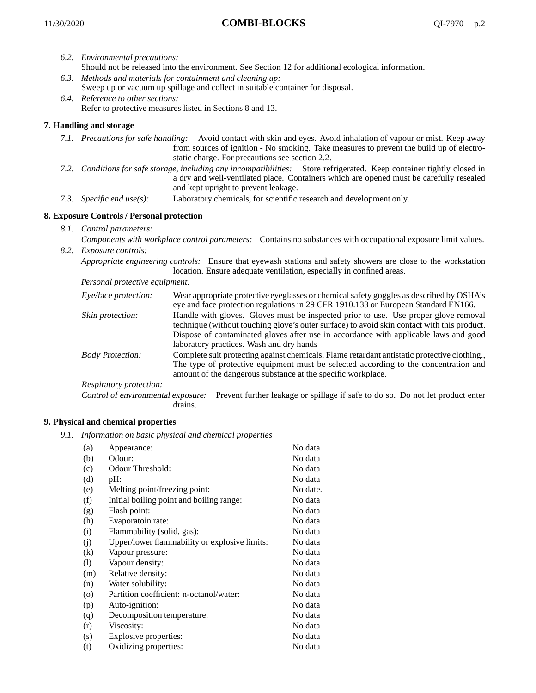- *6.2. Environmental precautions:*
	- Should not be released into the environment. See Section 12 for additional ecological information.
- *6.3. Methods and materials for containment and cleaning up:* Sweep up or vacuum up spillage and collect in suitable container for disposal.
- *6.4. Reference to other sections:* Refer to protective measures listed in Sections 8 and 13.

## **7. Handling and storage**

- *7.1. Precautions for safe handling:* Avoid contact with skin and eyes. Avoid inhalation of vapour or mist. Keep away from sources of ignition - No smoking. Take measures to prevent the build up of electrostatic charge. For precautions see section 2.2.
- *7.2. Conditions for safe storage, including any incompatibilities:* Store refrigerated. Keep container tightly closed in a dry and well-ventilated place. Containers which are opened must be carefully resealed and kept upright to prevent leakage.
- *7.3. Specific end use(s):* Laboratory chemicals, for scientific research and development only.

## **8. Exposure Controls / Personal protection**

*8.1. Control parameters:*

*Components with workplace control parameters:* Contains no substances with occupational exposure limit values. *8.2. Exposure controls:*

*Appropriate engineering controls:* Ensure that eyewash stations and safety showers are close to the workstation location. Ensure adequate ventilation, especially in confined areas.

*Personal protective equipment:*

| Eye/face protection:    | Wear appropriate protective eyeglasses or chemical safety goggles as described by OSHA's<br>eye and face protection regulations in 29 CFR 1910.133 or European Standard EN166.                                                                                                                                         |
|-------------------------|------------------------------------------------------------------------------------------------------------------------------------------------------------------------------------------------------------------------------------------------------------------------------------------------------------------------|
| Skin protection:        | Handle with gloves. Gloves must be inspected prior to use. Use proper glove removal<br>technique (without touching glove's outer surface) to avoid skin contact with this product.<br>Dispose of contaminated gloves after use in accordance with applicable laws and good<br>laboratory practices. Wash and dry hands |
| <b>Body Protection:</b> | Complete suit protecting against chemicals, Flame retardant antistatic protective clothing.,<br>The type of protective equipment must be selected according to the concentration and<br>amount of the dangerous substance at the specific workplace.                                                                   |
| Respiratory protection: |                                                                                                                                                                                                                                                                                                                        |

Control of environmental exposure: Prevent further leakage or spillage if safe to do so. Do not let product enter drains.

#### **9. Physical and chemical properties**

*9.1. Information on basic physical and chemical properties*

| (a)      | Appearance:                                   | No data  |
|----------|-----------------------------------------------|----------|
| (b)      | Odour:                                        | No data  |
| (c)      | Odour Threshold:                              | No data  |
| (d)      | pH:                                           | No data  |
| (e)      | Melting point/freezing point:                 | No date. |
| (f)      | Initial boiling point and boiling range:      | No data  |
| (g)      | Flash point:                                  | No data  |
| (h)      | Evaporatoin rate:                             | No data  |
| (i)      | Flammability (solid, gas):                    | No data  |
| (i)      | Upper/lower flammability or explosive limits: | No data  |
| $\rm(k)$ | Vapour pressure:                              | No data  |
| (1)      | Vapour density:                               | No data  |
| (m)      | Relative density:                             | No data  |
| (n)      | Water solubility:                             | No data  |
| $\circ$  | Partition coefficient: n-octanol/water:       | No data  |
| (p)      | Auto-ignition:                                | No data  |
| (q)      | Decomposition temperature:                    | No data  |
| (r)      | Viscosity:                                    | No data  |
| (s)      | Explosive properties:                         | No data  |
| (t)      | Oxidizing properties:                         | No data  |